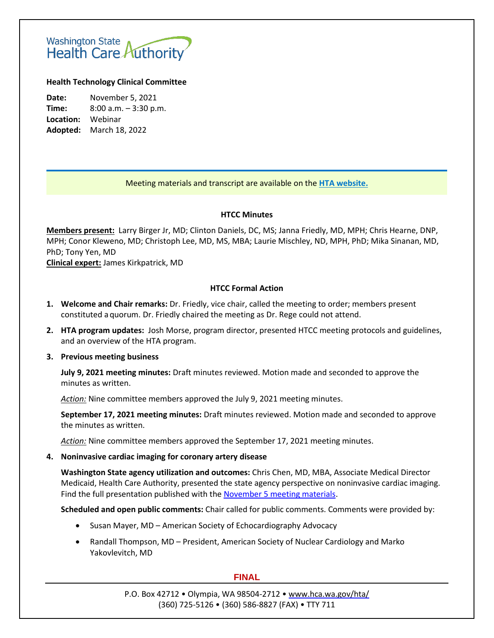# Washington State<br>Health Care Authority

# **Health Technology Clinical Committee**

**Date:** November 5, 2021 **Time:** 8:00 a.m. – 3:30 p.m. **Location:** Webinar **Adopted:** March 18, 2022

# Meeting materials and transcript are available on the **[HTA website.](http://www.hca.wa.gov/about-hca/health-technology-assessment/meetings-and-materials)**

# **HTCC Minutes**

**Members present:** Larry Birger Jr, MD; Clinton Daniels, DC, MS; Janna Friedly, MD, MPH; Chris Hearne, DNP, MPH; Conor Kleweno, MD; Christoph Lee, MD, MS, MBA; Laurie Mischley, ND, MPH, PhD; Mika Sinanan, MD, PhD; Tony Yen, MD

**Clinical expert:** James Kirkpatrick, MD

# **HTCC Formal Action**

- **1. Welcome and Chair remarks:** Dr. Friedly, vice chair, called the meeting to order; members present constituted aquorum. Dr. Friedly chaired the meeting as Dr. Rege could not attend.
- **2. HTA program updates:** Josh Morse, program director, presented HTCC meeting protocols and guidelines, and an overview of the HTA program.

# **3. Previous meeting business**

**July 9, 2021 meeting minutes:** Draft minutes reviewed. Motion made and seconded to approve the minutes as written.

*Action:* Nine committee members approved the July 9, 2021 meeting minutes.

**September 17, 2021 meeting minutes:** Draft minutes reviewed. Motion made and seconded to approve the minutes as written.

*Action:* Nine committee members approved the September 17, 2021 meeting minutes.

# **4. Noninvasive cardiac imaging for coronary artery disease**

**Washington State agency utilization and outcomes:** Chris Chen, MD, MBA, Associate Medical Director Medicaid, Health Care Authority, presented the state agency perspective on noninvasive cardiac imaging. Find the full presentation published with the [November 5 meeting materials.](https://www.hca.wa.gov/about-hca/health-technology-assessment/meetings-and-materials)

**Scheduled and open public comments:** Chair called for public comments. Comments were provided by:

- Susan Mayer, MD American Society of Echocardiography Advocacy
- Randall Thompson, MD President, American Society of Nuclear Cardiology and Marko Yakovlevitch, MD

# **FINAL**

P.O. Box 42712 • Olympia, WA 98504-2712 • [www.hca.wa.gov/hta/](http://www.hca.wa.gov/hta/) (360) 725-5126 • (360) 586-8827 (FAX) • TTY 711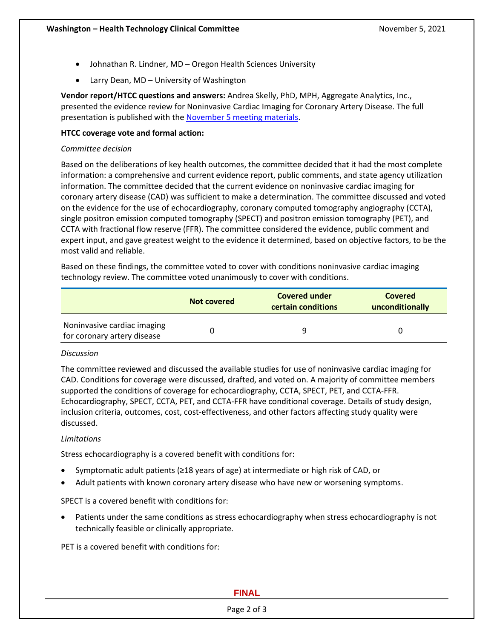- Johnathan R. Lindner, MD Oregon Health Sciences University
- Larry Dean, MD University of Washington

**Vendor report/HTCC questions and answers:** Andrea Skelly, PhD, MPH, Aggregate Analytics, Inc., presented the evidence review for Noninvasive Cardiac Imaging for Coronary Artery Disease. The full presentation is published with th[e November 5 meeting materials.](https://www.hca.wa.gov/about-hca/health-technology-assessment/meetings-and-materials)

# **HTCC coverage vote and formal action:**

# *Committee decision*

Based on the deliberations of key health outcomes, the committee decided that it had the most complete information: a comprehensive and current evidence report, public comments, and state agency utilization information. The committee decided that the current evidence on noninvasive cardiac imaging for coronary artery disease (CAD) was sufficient to make a determination. The committee discussed and voted on the evidence for the use of echocardiography, coronary computed tomography angiography (CCTA), single positron emission computed tomography (SPECT) and positron emission tomography (PET), and CCTA with fractional flow reserve (FFR). The committee considered the evidence, public comment and expert input, and gave greatest weight to the evidence it determined, based on objective factors, to be the most valid and reliable.

Based on these findings, the committee voted to cover with conditions noninvasive cardiac imaging technology review. The committee voted unanimously to cover with conditions.

|                                                            | <b>Not covered</b> | <b>Covered under</b><br>certain conditions | Covered<br>unconditionally |
|------------------------------------------------------------|--------------------|--------------------------------------------|----------------------------|
| Noninvasive cardiac imaging<br>for coronary artery disease |                    |                                            |                            |

# *Discussion*

The committee reviewed and discussed the available studies for use of noninvasive cardiac imaging for CAD. Conditions for coverage were discussed, drafted, and voted on. A majority of committee members supported the conditions of coverage for echocardiography, CCTA, SPECT, PET, and CCTA-FFR. Echocardiography, SPECT, CCTA, PET, and CCTA-FFR have conditional coverage. Details of study design, inclusion criteria, outcomes, cost, cost-effectiveness, and other factors affecting study quality were discussed.

# *Limitations*

Stress echocardiography is a covered benefit with conditions for:

- Symptomatic adult patients (≥18 years of age) at intermediate or high risk of CAD, or
- Adult patients with known coronary artery disease who have new or worsening symptoms.

SPECT is a covered benefit with conditions for:

• Patients under the same conditions as stress echocardiography when stress echocardiography is not technically feasible or clinically appropriate.

PET is a covered benefit with conditions for:

# **FINAL**

#### Page 2 of 3